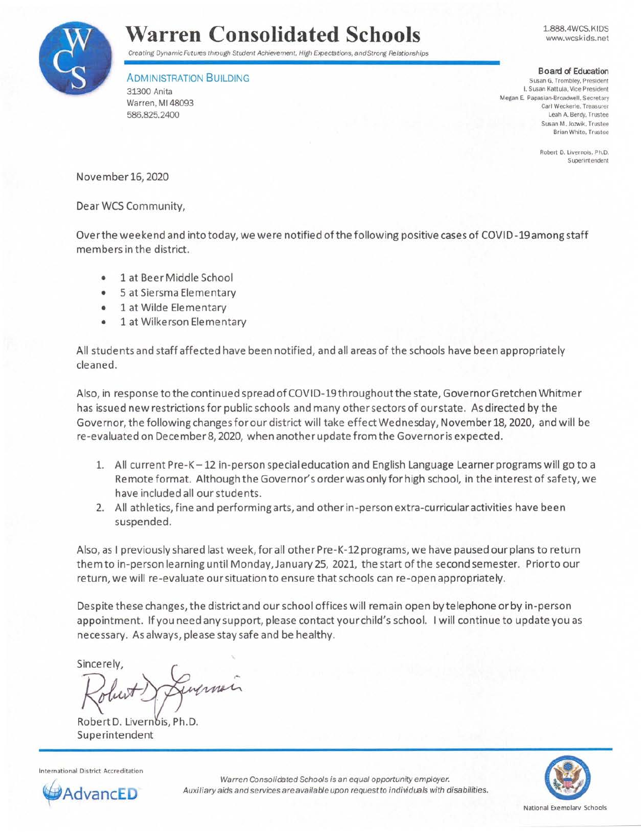

## **Warren Consolidated Schools**

Creating Dynamic Futures through Student Achievement. High Expectations, and Strong Relationships

ADMINISTRATION BUILDING

31300 Anita Warren, Ml 48093 586.825.2400

1.888.4WCS.KIDS www.wcskids.net

**Board of Education** 

**Susan G. Trombley. President I. Susan Kattula, Vice President**  Megan E. Papasian-Broadwell. Secretary Carl Weckerle. Treasurer Leah A. Berdy. Trustee Susan **M.** Jozwik. Trustee **Brian White. Trustee** 

> **Robert D. Livernois. Ph.D. Superintendent**

November 16, 2020

Dear WCS Community,

Over the weekend and into today, we were notified of the following positive cases of COVID-19among staff members in the district.

- 1 at Beer Middle School
- 5 at Siersma Elementary
- 1 at Wilde Elementary
- 1 at Wilkerson Elementary

All students and staff affected have been notified, and all areas of the schools have been appropriately cleaned.

Also, in response to the continued spread of COVID-19throughoutthe state, Governor Gretchen Whitmer has issued new restrictions for public schools and many other sectors of our state. As directed by the Governor, the following changes for our district will take effect Wednesday, November 18, 2020, and will be re-evaluated on December 8, 2020, when another update from the Governor is expected.

- 1. All current Pre-K-12 in-person special education and English Language Learner programs will go to a Remote format. Although the Governor's order was only for high school, in the interest of safety, we have included all our students.
- 2. All athletics, fine and performing arts, and other in-person extra-curricular activities have been suspended.

Also, as I previously shared last week, for all other Pre-K-12 programs, we have paused our plans to return them to in-person learning until Monday, January 25, 2021, the start of the second semester. Prior to our return, we will re-evaluate our situation to ensure that schools can re-open appropriately.

Despite these changes, the district and our school offices will remain open by telephone or by in-person appointment. If you need any support, please contact your child's school. I will continue to update you as necessary. As always, please stay safe and be healthy.

Sincerely.

injuner

Robert D. Livernois, Ph.D. Superintendent





Warren Consolidated Schools is an equal opportunity employer. Auxiliary aids and services are available upon request to individuals with disabilities.